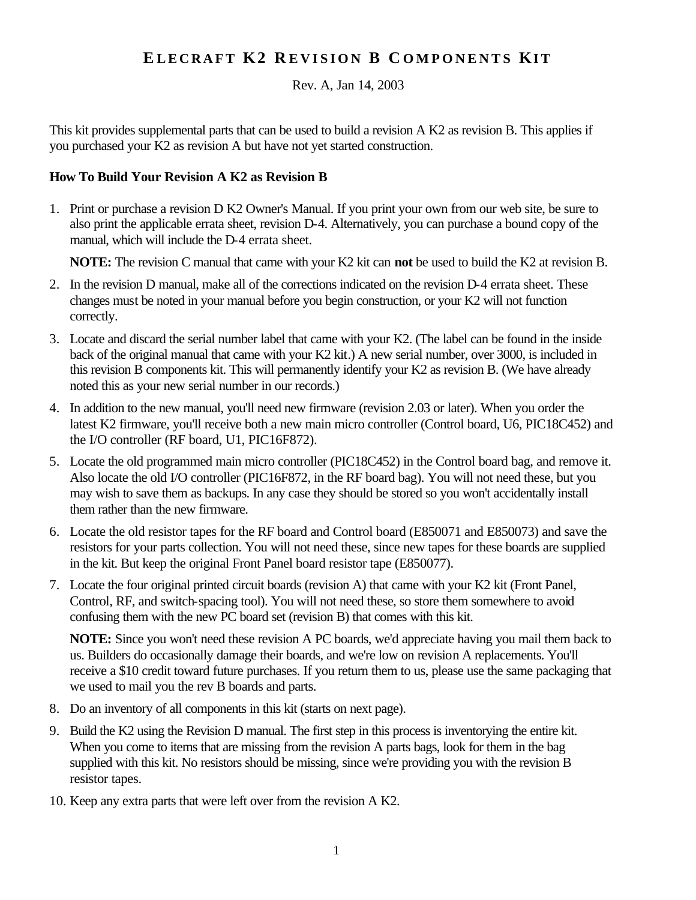## **E LECRAFT K2 R EVISION B C OMPONENTS KI T**

Rev. A, Jan 14, 2003

This kit provides supplemental parts that can be used to build a revision A K2 as revision B. This applies if you purchased your K2 as revision A but have not yet started construction.

## **How To Build Your Revision A K2 as Revision B**

1. Print or purchase a revision D K2 Owner's Manual. If you print your own from our web site, be sure to also print the applicable errata sheet, revision D-4. Alternatively, you can purchase a bound copy of the manual, which will include the D-4 errata sheet.

**NOTE:** The revision C manual that came with your K2 kit can **not** be used to build the K2 at revision B.

- 2. In the revision D manual, make all of the corrections indicated on the revision D-4 errata sheet. These changes must be noted in your manual before you begin construction, or your K2 will not function correctly.
- 3. Locate and discard the serial number label that came with your K2. (The label can be found in the inside back of the original manual that came with your K2 kit.) A new serial number, over 3000, is included in this revision B components kit. This will permanently identify your K2 as revision B. (We have already noted this as your new serial number in our records.)
- 4. In addition to the new manual, you'll need new firmware (revision 2.03 or later). When you order the latest K2 firmware, you'll receive both a new main micro controller (Control board, U6, PIC18C452) and the I/O controller (RF board, U1, PIC16F872).
- 5. Locate the old programmed main micro controller (PIC18C452) in the Control board bag, and remove it. Also locate the old I/O controller (PIC16F872, in the RF board bag). You will not need these, but you may wish to save them as backups. In any case they should be stored so you won't accidentally install them rather than the new firmware.
- 6. Locate the old resistor tapes for the RF board and Control board (E850071 and E850073) and save the resistors for your parts collection. You will not need these, since new tapes for these boards are supplied in the kit. But keep the original Front Panel board resistor tape (E850077).
- 7. Locate the four original printed circuit boards (revision A) that came with your K2 kit (Front Panel, Control, RF, and switch-spacing tool). You will not need these, so store them somewhere to avoid confusing them with the new PC board set (revision B) that comes with this kit.

**NOTE:** Since you won't need these revision A PC boards, we'd appreciate having you mail them back to us. Builders do occasionally damage their boards, and we're low on revision A replacements. You'll receive a \$10 credit toward future purchases. If you return them to us, please use the same packaging that we used to mail you the rev B boards and parts.

- 8. Do an inventory of all components in this kit (starts on next page).
- 9. Build the K2 using the Revision D manual. The first step in this process is inventorying the entire kit. When you come to items that are missing from the revision A parts bags, look for them in the bag supplied with this kit. No resistors should be missing, since we're providing you with the revision B resistor tapes.
- 10. Keep any extra parts that were left over from the revision A K2.